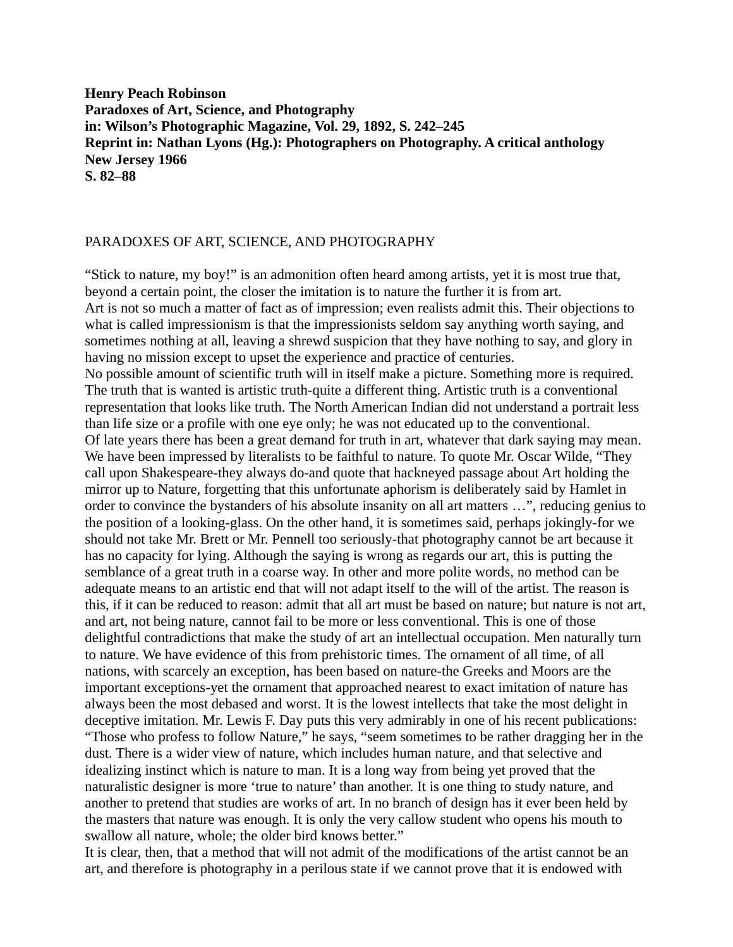**Henry Peach Robinson Paradoxes of Art, Science, and Photography in: Wilson's Photographic Magazine, Vol. 29, 1892, S. 242–245 Reprint in: Nathan Lyons (Hg.): Photographers on Photography. A critical anthology New Jersey 1966 S. 82–88** 

## PARADOXES OF ART, SCIENCE, AND PHOTOGRAPHY

"Stick to nature, my boy!" is an admonition often heard among artists, yet it is most true that, beyond a certain point, the closer the imitation is to nature the further it is from art. Art is not so much a matter of fact as of impression; even realists admit this. Their objections to what is called impressionism is that the impressionists seldom say anything worth saying, and sometimes nothing at all, leaving a shrewd suspicion that they have nothing to say, and glory in having no mission except to upset the experience and practice of centuries. No possible amount of scientific truth will in itself make a picture. Something more is required. The truth that is wanted is artistic truth-quite a different thing. Artistic truth is a conventional representation that looks like truth. The North American Indian did not understand a portrait less than life size or a profile with one eye only; he was not educated up to the conventional. Of late years there has been a great demand for truth in art, whatever that dark saying may mean. We have been impressed by literalists to be faithful to nature. To quote Mr. Oscar Wilde, "They call upon Shakespeare-they always do-and quote that hackneyed passage about Art holding the mirror up to Nature, forgetting that this unfortunate aphorism is deliberately said by Hamlet in order to convince the bystanders of his absolute insanity on all art matters …", reducing genius to the position of a looking-glass. On the other hand, it is sometimes said, perhaps jokingly-for we should not take Mr. Brett or Mr. Pennell too seriously-that photography cannot be art because it has no capacity for lying. Although the saying is wrong as regards our art, this is putting the semblance of a great truth in a coarse way. In other and more polite words, no method can be adequate means to an artistic end that will not adapt itself to the will of the artist. The reason is this, if it can be reduced to reason: admit that all art must be based on nature; but nature is not art, and art, not being nature, cannot fail to be more or less conventional. This is one of those delightful contradictions that make the study of art an intellectual occupation. Men naturally turn to nature. We have evidence of this from prehistoric times. The ornament of all time, of all nations, with scarcely an exception, has been based on nature-the Greeks and Moors are the important exceptions-yet the ornament that approached nearest to exact imitation of nature has always been the most debased and worst. It is the lowest intellects that take the most delight in deceptive imitation. Mr. Lewis F. Day puts this very admirably in one of his recent publications: "Those who profess to follow Nature," he says, "seem sometimes to be rather dragging her in the dust. There is a wider view of nature, which includes human nature, and that selective and idealizing instinct which is nature to man. It is a long way from being yet proved that the naturalistic designer is more 'true to nature' than another. It is one thing to study nature, and another to pretend that studies are works of art. In no branch of design has it ever been held by the masters that nature was enough. It is only the very callow student who opens his mouth to swallow all nature, whole; the older bird knows better."

It is clear, then, that a method that will not admit of the modifications of the artist cannot be an art, and therefore is photography in a perilous state if we cannot prove that it is endowed with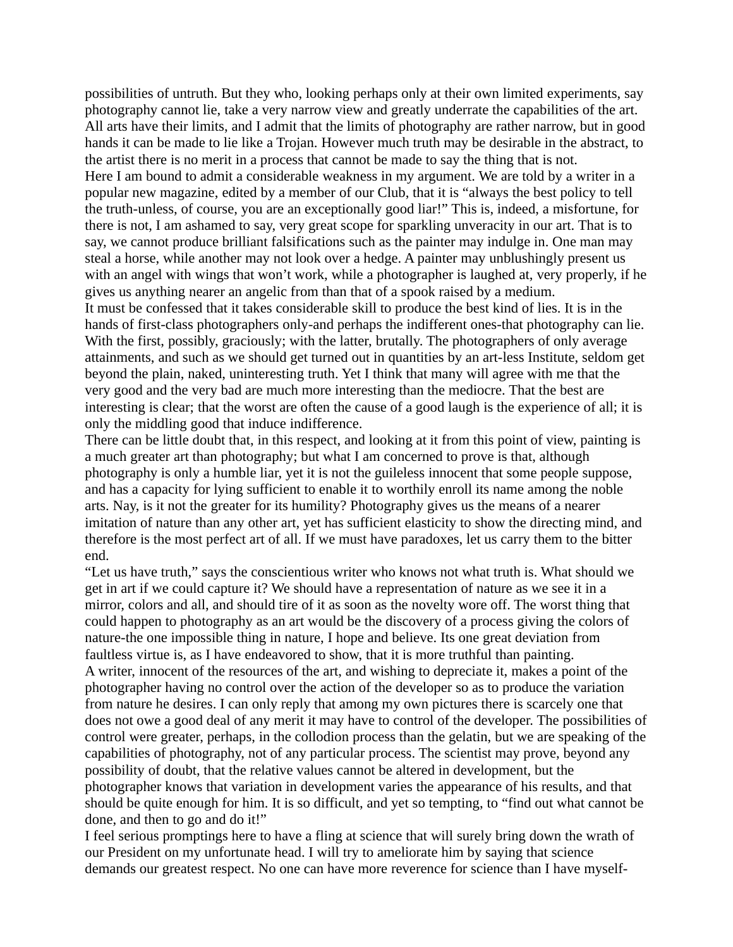possibilities of untruth. But they who, looking perhaps only at their own limited experiments, say photography cannot lie, take a very narrow view and greatly underrate the capabilities of the art. All arts have their limits, and I admit that the limits of photography are rather narrow, but in good hands it can be made to lie like a Trojan. However much truth may be desirable in the abstract, to the artist there is no merit in a process that cannot be made to say the thing that is not. Here I am bound to admit a considerable weakness in my argument. We are told by a writer in a popular new magazine, edited by a member of our Club, that it is "always the best policy to tell the truth-unless, of course, you are an exceptionally good liar!" This is, indeed, a misfortune, for there is not, I am ashamed to say, very great scope for sparkling unveracity in our art. That is to say, we cannot produce brilliant falsifications such as the painter may indulge in. One man may steal a horse, while another may not look over a hedge. A painter may unblushingly present us with an angel with wings that won't work, while a photographer is laughed at, very properly, if he gives us anything nearer an angelic from than that of a spook raised by a medium. It must be confessed that it takes considerable skill to produce the best kind of lies. It is in the hands of first-class photographers only-and perhaps the indifferent ones-that photography can lie. With the first, possibly, graciously; with the latter, brutally. The photographers of only average attainments, and such as we should get turned out in quantities by an art-less Institute, seldom get beyond the plain, naked, uninteresting truth. Yet I think that many will agree with me that the very good and the very bad are much more interesting than the mediocre. That the best are interesting is clear; that the worst are often the cause of a good laugh is the experience of all; it is only the middling good that induce indifference.

There can be little doubt that, in this respect, and looking at it from this point of view, painting is a much greater art than photography; but what I am concerned to prove is that, although photography is only a humble liar, yet it is not the guileless innocent that some people suppose, and has a capacity for lying sufficient to enable it to worthily enroll its name among the noble arts. Nay, is it not the greater for its humility? Photography gives us the means of a nearer imitation of nature than any other art, yet has sufficient elasticity to show the directing mind, and therefore is the most perfect art of all. If we must have paradoxes, let us carry them to the bitter end.

"Let us have truth," says the conscientious writer who knows not what truth is. What should we get in art if we could capture it? We should have a representation of nature as we see it in a mirror, colors and all, and should tire of it as soon as the novelty wore off. The worst thing that could happen to photography as an art would be the discovery of a process giving the colors of nature-the one impossible thing in nature, I hope and believe. Its one great deviation from faultless virtue is, as I have endeavored to show, that it is more truthful than painting. A writer, innocent of the resources of the art, and wishing to depreciate it, makes a point of the photographer having no control over the action of the developer so as to produce the variation from nature he desires. I can only reply that among my own pictures there is scarcely one that does not owe a good deal of any merit it may have to control of the developer. The possibilities of control were greater, perhaps, in the collodion process than the gelatin, but we are speaking of the capabilities of photography, not of any particular process. The scientist may prove, beyond any possibility of doubt, that the relative values cannot be altered in development, but the photographer knows that variation in development varies the appearance of his results, and that should be quite enough for him. It is so difficult, and yet so tempting, to "find out what cannot be done, and then to go and do it!"

I feel serious promptings here to have a fling at science that will surely bring down the wrath of our President on my unfortunate head. I will try to ameliorate him by saying that science demands our greatest respect. No one can have more reverence for science than I have myself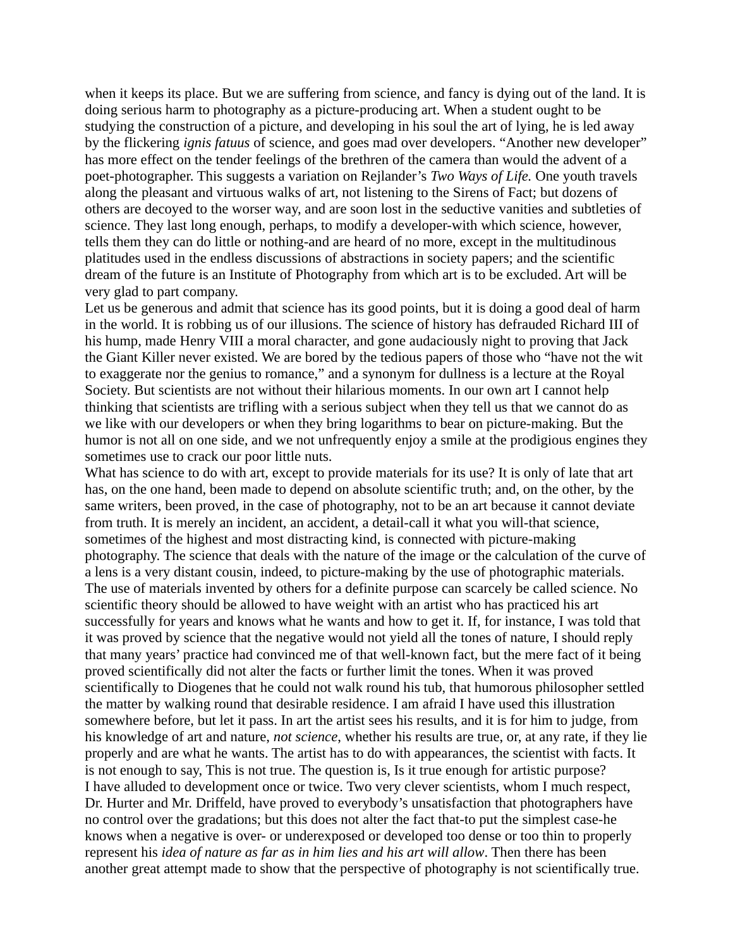when it keeps its place. But we are suffering from science, and fancy is dying out of the land. It is doing serious harm to photography as a picture-producing art. When a student ought to be studying the construction of a picture, and developing in his soul the art of lying, he is led away by the flickering *ignis fatuus* of science, and goes mad over developers. "Another new developer" has more effect on the tender feelings of the brethren of the camera than would the advent of a poet-photographer. This suggests a variation on Rejlander's *Two Ways of Life.* One youth travels along the pleasant and virtuous walks of art, not listening to the Sirens of Fact; but dozens of others are decoyed to the worser way, and are soon lost in the seductive vanities and subtleties of science. They last long enough, perhaps, to modify a developer-with which science, however, tells them they can do little or nothing-and are heard of no more, except in the multitudinous platitudes used in the endless discussions of abstractions in society papers; and the scientific dream of the future is an Institute of Photography from which art is to be excluded. Art will be very glad to part company.

Let us be generous and admit that science has its good points, but it is doing a good deal of harm in the world. It is robbing us of our illusions. The science of history has defrauded Richard III of his hump, made Henry VIII a moral character, and gone audaciously night to proving that Jack the Giant Killer never existed. We are bored by the tedious papers of those who "have not the wit to exaggerate nor the genius to romance," and a synonym for dullness is a lecture at the Royal Society. But scientists are not without their hilarious moments. In our own art I cannot help thinking that scientists are trifling with a serious subject when they tell us that we cannot do as we like with our developers or when they bring logarithms to bear on picture-making. But the humor is not all on one side, and we not unfrequently enjoy a smile at the prodigious engines they sometimes use to crack our poor little nuts.

What has science to do with art, except to provide materials for its use? It is only of late that art has, on the one hand, been made to depend on absolute scientific truth; and, on the other, by the same writers, been proved, in the case of photography, not to be an art because it cannot deviate from truth. It is merely an incident, an accident, a detail-call it what you will-that science, sometimes of the highest and most distracting kind, is connected with picture-making photography. The science that deals with the nature of the image or the calculation of the curve of a lens is a very distant cousin, indeed, to picture-making by the use of photographic materials. The use of materials invented by others for a definite purpose can scarcely be called science. No scientific theory should be allowed to have weight with an artist who has practiced his art successfully for years and knows what he wants and how to get it. If, for instance, I was told that it was proved by science that the negative would not yield all the tones of nature, I should reply that many years' practice had convinced me of that well-known fact, but the mere fact of it being proved scientifically did not alter the facts or further limit the tones. When it was proved scientifically to Diogenes that he could not walk round his tub, that humorous philosopher settled the matter by walking round that desirable residence. I am afraid I have used this illustration somewhere before, but let it pass. In art the artist sees his results, and it is for him to judge, from his knowledge of art and nature, *not science*, whether his results are true, or, at any rate, if they lie properly and are what he wants. The artist has to do with appearances, the scientist with facts. It is not enough to say, This is not true. The question is, Is it true enough for artistic purpose? I have alluded to development once or twice. Two very clever scientists, whom I much respect, Dr. Hurter and Mr. Driffeld, have proved to everybody's unsatisfaction that photographers have no control over the gradations; but this does not alter the fact that-to put the simplest case-he knows when a negative is over- or underexposed or developed too dense or too thin to properly represent his *idea of nature as far as in him lies and his art will allow*. Then there has been another great attempt made to show that the perspective of photography is not scientifically true.